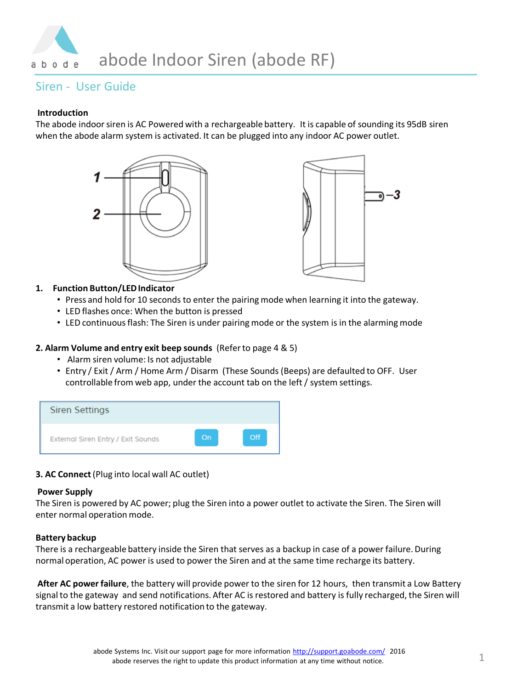

# Siren - User Guide

## **Introduction**

The abode indoor siren is AC Powered with a rechargeable battery. It is capable of sounding its 95dB siren when the abode alarm system is activated. It can be plugged into any indoor AC power outlet.





## **1. Function Button/LED Indicator**

- Press and hold for 10 seconds to enter the pairing mode when learning it into the gateway.
- LED flashes once: When the button is pressed
- LED continuous flash: The Siren is under pairing mode or the system is in the alarming mode

## **2. Alarm Volume and entry exit beep sounds** (Refer to page 4 & 5)

- Alarm siren volume: Is not adjustable
- Entry / Exit / Arm / Home Arm / Disarm (These Sounds (Beeps) are defaulted to OFF. User controllable from web app, under the account tab on the left / system settings.



## **3. AC Connect** (Plug into local wall AC outlet)

### **Power Supply**

The Siren is powered by AC power; plug the Siren into a power outlet to activate the Siren. The Siren will enter normal operation mode.

### **Battery backup**

There is a rechargeable battery inside the Siren that serves as a backup in case of a power failure. During normal operation, AC power is used to power the Siren and at the same time recharge its battery.

**After AC power failure**, the battery will provide power to the siren for 12 hours, then transmit a Low Battery signal to the gateway and send notifications. After AC is restored and battery is fully recharged, the Siren will transmit a low battery restored notification to the gateway.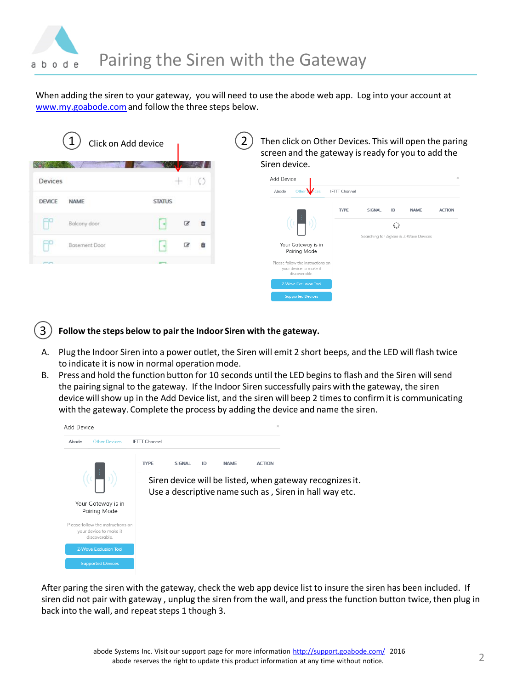

When adding the siren to your gateway, you will need to use the abode web app. Log into your account at [www.my.goabode.com](http://www.my.goabode.com/)and follow the three steps below.

|               | Click on Add device  |               |                     |   | Siren device.                                                               | Then click on Other Devices. This will open the paring<br>screen and the gateway is ready for you to add the |        |    |                                       |               |
|---------------|----------------------|---------------|---------------------|---|-----------------------------------------------------------------------------|--------------------------------------------------------------------------------------------------------------|--------|----|---------------------------------------|---------------|
| Devices       |                      |               | ⊹                   |   | Add Device                                                                  |                                                                                                              |        |    |                                       | $\times$      |
|               |                      |               |                     |   | Abode                                                                       | Other <b>No</b> ces<br><b>IFTTT</b> Channel                                                                  |        |    |                                       |               |
| <b>DEVICE</b> | <b>NAME</b>          | <b>STATUS</b> |                     |   |                                                                             | <b>TYPE</b>                                                                                                  | SIGNAL | ID | <b>NAMF</b>                           | <b>ACTION</b> |
|               | Balcony door         |               | $\overline{\alpha}$ | 曲 |                                                                             |                                                                                                              |        | €  |                                       |               |
|               | <b>Basement Door</b> |               | B                   | 自 | Your Gateway is in<br>Pairing Mode                                          |                                                                                                              |        |    | Searching for ZigBee & Z-Wave Devices |               |
|               |                      |               |                     |   | Please follow the instructions on<br>your device to make it<br>discoverable |                                                                                                              |        |    |                                       |               |
|               |                      |               |                     |   | <b>Z-Wave Exclusion Tool</b>                                                |                                                                                                              |        |    |                                       |               |
|               |                      |               |                     |   | <b>Supported Devices</b>                                                    |                                                                                                              |        |    |                                       |               |

- 3 **Follow the steps below to pair the Indoor Siren with the gateway.**
- A. Plug the Indoor Siren into a power outlet, the Siren will emit 2 short beeps, and the LED will flash twice to indicate it is now in normal operation mode.
- B. Press and hold the function button for 10 seconds until the LED begins to flash and the Siren will send the pairing signal to the gateway. If the Indoor Siren successfully pairs with the gateway, the siren device will show up in the Add Device list, and the siren will beep 2 times to confirm it is communicating with the gateway. Complete the process by adding the device and name the siren.



After paring the siren with the gateway, check the web app device list to insure the siren has been included. If siren did not pair with gateway , unplug the siren from the wall, and press the function button twice, then plug in back into the wall, and repeat steps 1 though 3.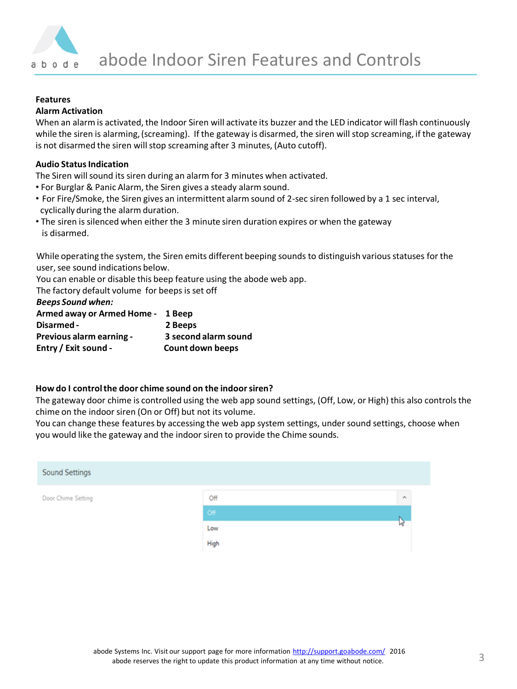

## **Features**

### **Alarm Activation**

When an alarm is activated, the Indoor Siren will activate its buzzer and the LED indicator will flash continuously while the siren is alarming, (screaming). If the gateway is disarmed, the siren will stop screaming, if the gateway is not disarmed the siren will stop screaming after 3 minutes, (Auto cutoff).

## **Audio Status Indication**

The Siren will sound its siren during an alarm for 3 minutes when activated.

- For Burglar & Panic Alarm, the Siren gives a steady alarm sound.
- For Fire/Smoke, the Siren gives an intermittent alarm sound of 2-sec siren followed by a 1 sec interval, cyclically during the alarm duration.
- The siren is silenced when either the 3 minute siren duration expires or when the gateway is disarmed.

While operating the system, the Siren emits different beeping sounds to distinguish various statuses for the user, see sound indications below.

You can enable or disable this beep feature using the abode web app.

The factory default volume for beeps is set off

*Beeps Sound when:* 

| Armed away or Armed Home - 1 Beep |                      |
|-----------------------------------|----------------------|
| Disarmed -                        | 2 Beeps              |
| Previous alarm earning -          | 3 second alarm sound |
| Entry / Exit sound -              | Count down beeps     |

### **How do I control the door chime sound on the indoor siren?**

The gateway door chime is controlled using the web app sound settings, (Off, Low, or High) this also controls the chime on the indoor siren (On or Off) but not its volume.

You can change these features by accessing the web app system settings, under sound settings, choose when you would like the gateway and the indoor siren to provide the Chime sounds.

| <b>Sound Settings</b> |      |   |
|-----------------------|------|---|
| Door Chime Setting    | Off  | A |
|                       | Off  |   |
|                       | Low  | V |
|                       | High |   |
|                       |      |   |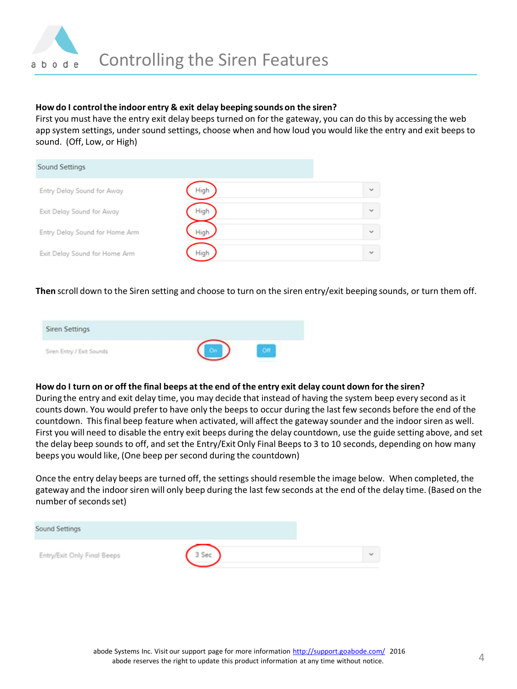

### **How do I control the indoor entry & exit delay beeping sounds on the siren?**

First you must have the entry exit delay beeps turned on for the gateway, you can do this by accessing the web app system settings, under sound settings, choose when and how loud you would like the entry and exit beeps to sound. (Off, Low, or High)

| <b>Sound Settings</b>          |      |              |
|--------------------------------|------|--------------|
| Entry Delay Sound for Away     | High | $\checkmark$ |
| Exit Delay Sound for Away      | High | $\checkmark$ |
| Entry Delay Sound for Home Arm | High | $\checkmark$ |
| Exit Delay Sound for Home Arm  | High | $\checkmark$ |

**Then** scroll down to the Siren setting and choose to turn on the siren entry/exit beeping sounds, or turn them off.



### **How do I turn on or off the final beeps at the end of the entry exit delay count down for the siren?**

During the entry and exit delay time, you may decide that instead of having the system beep every second as it counts down. You would prefer to have only the beeps to occur during the last few seconds before the end of the countdown. This final beep feature when activated, will affect the gateway sounder and the indoor siren as well. First you will need to disable the entry exit beeps during the delay countdown, use the guide setting above, and set the delay beep sounds to off, and set the Entry/Exit Only Final Beeps to 3 to 10 seconds, depending on how many beeps you would like, (One beep per second during the countdown)

Once the entry delay beeps are turned off, the settings should resemble the image below. When completed, the gateway and the indoor siren will only beep during the last few seconds at the end of the delay time. (Based on the number of seconds set)